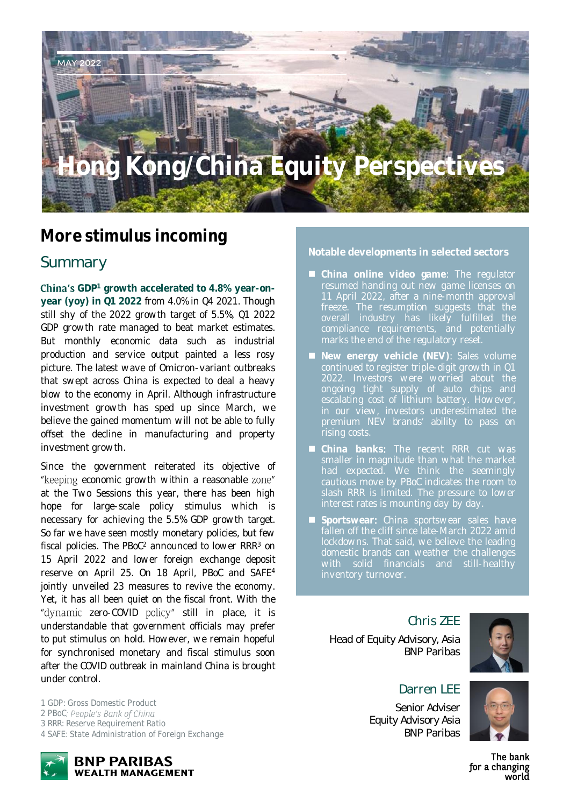# **Hong Kong/China Equity Perspectives**

### **More stimulus incoming**

### Summary

MAY 2022

**China's** GDP<sup>1</sup> growth accelerated to 4.8% year-on**year (yoy) in Q1 2022** from 4.0% in Q4 2021. Though still shy of the 2022 growth target of 5.5%, Q1 2022 GDP growth rate managed to beat market estimates. But monthly economic data such as industrial production and service output painted a less rosy picture. The latest wave of Omicron-variant outbreaks that swept across China is expected to deal a heavy blow to the economy in April. Although infrastructure investment growth has sped up since March, we believe the gained momentum will not be able to fully offset the decline in manufacturing and property investment growth.

Since the government reiterated its objective of "keeping economic growth within a reasonable zone" at the Two Sessions this year, there has been high hope for large-scale policy stimulus which is necessary for achieving the 5.5% GDP growth target. So far we have seen mostly monetary policies, but few fiscal policies. The PBoC<sup>2</sup> announced to lower RRR<sup>3</sup> on 15 April 2022 and lower foreign exchange deposit reserve on April 25. On 18 April, PBoC and SAFE<sup>4</sup> jointly unveiled 23 measures to revive the economy. Yet, it has all been quiet on the fiscal front. With the "dynamic zero-COVID policy" still in place, it is understandable that government officials may prefer to put stimulus on hold. However, we remain hopeful for synchronised monetary and fiscal stimulus soon after the COVID outbreak in mainland China is brought under control.

*1 GDP: Gross Domestic Product 2 PBoC 3 RRR: Reserve Requirement Ratio 4 SAFE: State Administration of Foreign Exchange*



**Notable developments in selected sectors**

- **China online video game**: The regulator 11 April 2022, after a nine-month approval freeze. The resumption suggests that the compliance requirements, and potentially marks the end of the regulatory reset.
- **New energy vehicle (NEV)**: Sales volume continued to register triple-digit growth in Q1 ongoing tight supply of auto chips and premium NEV brands' ability to pass on rising costs.
- **China banks**: The recent RRR cut was smaller in magnitude than what the market had expected. We think the seemingly cautious move by PBoC indicates the room to slash RRR is limited. The pressure to lower
- **Sportswear: China sportswear sales have** fallen off the cliff since late-March 2022 amid lockdowns. That said, we believe the leading domestic brands can weather the challenges

Chris ZEE

Head of Equity Advisory, Asia BNP Paribas



#### Darren LFF

Senior Adviser Equity Advisory Asia BNP Paribas

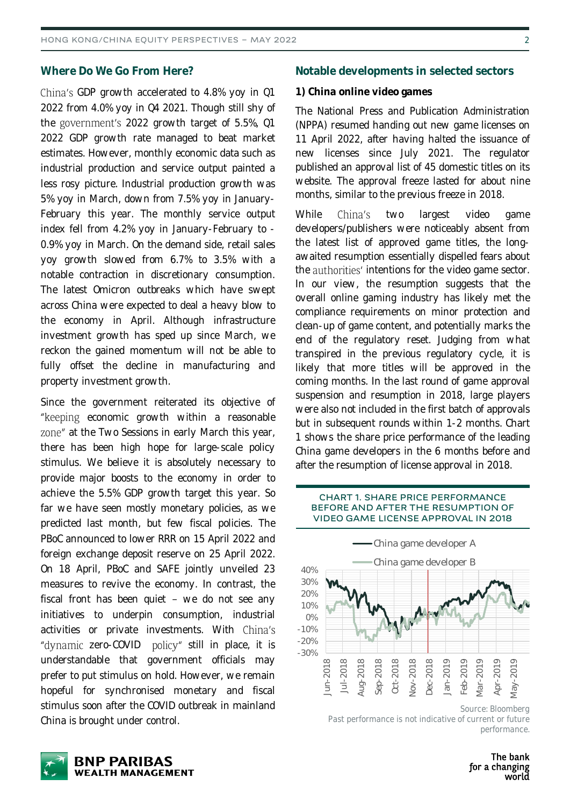#### **Where Do We Go From Here?**

China's GDP growth accelerated to 4.8% yoy in Q1 2022 from 4.0% yoy in Q4 2021. Though still shy of the government's 2022 growth target of 5.5%, Q1 2022 GDP growth rate managed to beat market estimates. However, monthly economic data such as industrial production and service output painted a less rosy picture. Industrial production growth was 5% yoy in March, down from 7.5% yoy in January-February this year. The monthly service output index fell from 4.2% yoy in January-February to - 0.9% yoy in March. On the demand side, retail sales yoy growth slowed from 6.7% to 3.5% with a notable contraction in discretionary consumption. The latest Omicron outbreaks which have swept across China were expected to deal a heavy blow to the economy in April. Although infrastructure investment growth has sped up since March, we reckon the gained momentum will not be able to fully offset the decline in manufacturing and property investment growth.

Since the government reiterated its objective of "keeping economic growth within a reasonable zone" at the Two Sessions in early March this year, there has been high hope for large-scale policy stimulus. We believe it is absolutely necessary to provide major boosts to the economy in order to achieve the 5.5% GDP growth target this year. So far we have seen mostly monetary policies, as we predicted last month, but few fiscal policies. The PBoC announced to lower RRR on 15 April 2022 and foreign exchange deposit reserve on 25 April 2022. On 18 April, PBoC and SAFE jointly unveiled 23 measures to revive the economy. In contrast, the fiscal front has been quiet  $-$  we do not see any initiatives to underpin consumption, industrial activities or private investments. With China's "dynamic zero-COVID policy" still in place, it is understandable that government officials may prefer to put stimulus on hold. However, we remain hopeful for synchronised monetary and fiscal stimulus soon after the COVID outbreak in mainland China is brought under control.

#### **Notable developments in selected sectors**

#### **1) China online video games**

The National Press and Publication Administration (NPPA) resumed handing out new game licenses on 11 April 2022, after having halted the issuance of new licenses since July 2021. The regulator published an approval list of 45 domestic titles on its website. The approval freeze lasted for about nine months, similar to the previous freeze in 2018.

While China's two largest video game developers/publishers were noticeably absent from the latest list of approved game titles, the longawaited resumption essentially dispelled fears about the authorities' intentions for the video game sector. In our view, the resumption suggests that the overall online gaming industry has likely met the compliance requirements on minor protection and clean-up of game content, and potentially marks the end of the regulatory reset. Judging from what transpired in the previous regulatory cycle, it is likely that more titles will be approved in the coming months. In the last round of game approval suspension and resumption in 2018, large players were also not included in the first batch of approvals but in subsequent rounds within 1-2 months. Chart 1 shows the share price performance of the leading China game developers in the 6 months before and after the resumption of license approval in 2018.

#### **CHART 1. SHARE PRICE PERFORMANCE BEFORE AND AFTER THE RESUMPTION OF VIDEO GAME LICENSE APPROVAL IN 2018**



*Source: Bloomberg* Past performance is not indicative of current or future *performance.*

The bank for a changing world

 $\mathcal{D}$ 

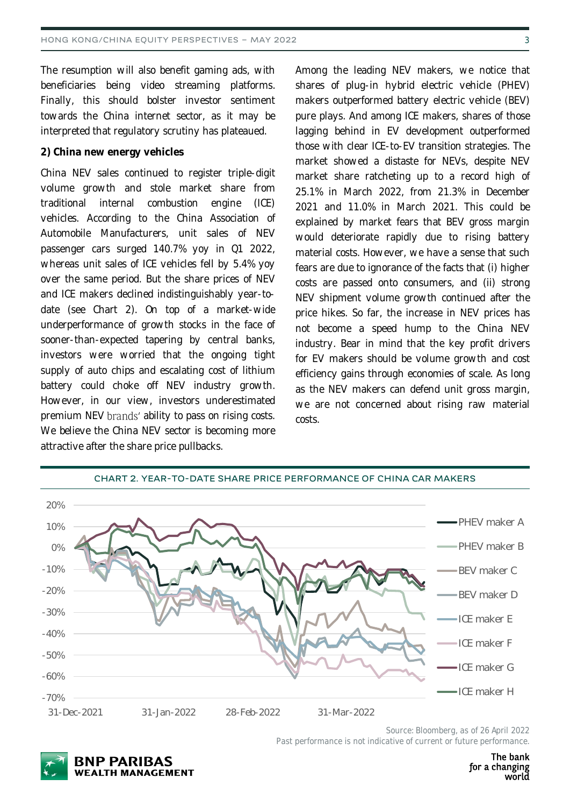The resumption will also benefit gaming ads, with beneficiaries being video streaming platforms. Finally, this should bolster investor sentiment towards the China internet sector, as it may be interpreted that regulatory scrutiny has plateaued.

#### **2) China new energy vehicles**

China NEV sales continued to register triple-digit volume growth and stole market share from traditional internal combustion engine (ICE) vehicles. According to the China Association of Automobile Manufacturers, unit sales of NEV passenger cars surged 140.7% yoy in Q1 2022, whereas unit sales of ICE vehicles fell by 5.4% yoy over the same period. But the share prices of NEV and ICE makers declined indistinguishably year-todate (see Chart 2). On top of a market-wide underperformance of growth stocks in the face of sooner-than-expected tapering by central banks, investors were worried that the ongoing tight supply of auto chips and escalating cost of lithium battery could choke off NEV industry growth. However, in our view, investors underestimated premium NEV brands' ability to pass on rising costs. We believe the China NEV sector is becoming more attractive after the share price pullbacks.

Among the leading NEV makers, we notice that shares of plug-in hybrid electric vehicle (PHEV) makers outperformed battery electric vehicle (BEV) pure plays. And among ICE makers, shares of those lagging behind in EV development outperformed those with clear ICE-to-EV transition strategies. The market showed a distaste for NEVs, despite NEV market share ratcheting up to a record high of 25.1% in March 2022, from 21.3% in December 2021 and 11.0% in March 2021. This could be explained by market fears that BEV gross margin would deteriorate rapidly due to rising battery material costs. However, we have a sense that such fears are due to ignorance of the facts that (i) higher costs are passed onto consumers, and (ii) strong NEV shipment volume growth continued after the price hikes. So far, the increase in NEV prices has not become a speed hump to the China NEV industry. Bear in mind that the key profit drivers for EV makers should be volume growth and cost efficiency gains through economies of scale. As long as the NEV makers can defend unit gross margin, we are not concerned about rising raw material costs.



**CHART 2. YEAR-TO-DATE SHARE PRICE PERFORMANCE OF CHINA CAR MAKERS**

*Past performance is not indicative of current or future performance.*



*Source: Bloomberg, as of 26 April 2022*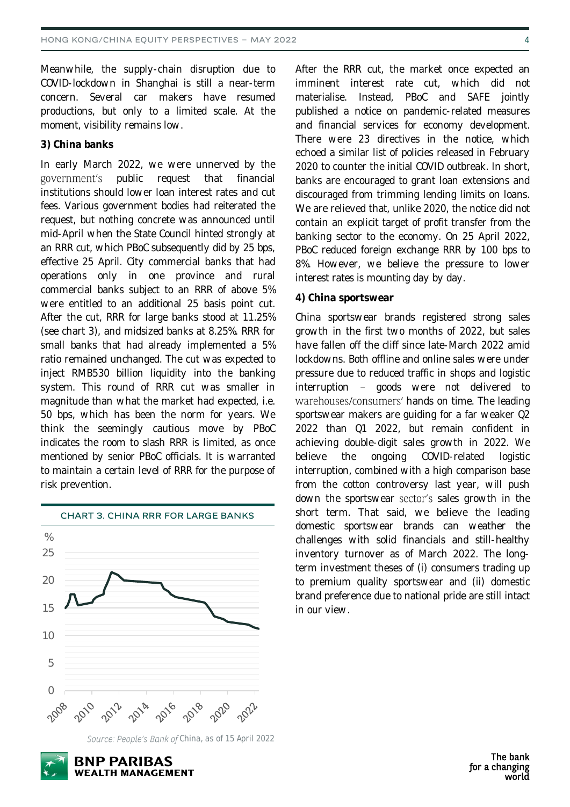Meanwhile, the supply-chain disruption due to COVID-lockdown in Shanghai is still a near-term concern. Several car makers have resumed productions, but only to a limited scale. At the moment, visibility remains low.

**3) China banks**

In early March 2022, we were unnerved by the government's public request that financial institutions should lower loan interest rates and cut fees. Various government bodies had reiterated the request, but nothing concrete was announced until mid-April when the State Council hinted strongly at an RRR cut, which PBoC subsequently did by 25 bps, effective 25 April. City commercial banks that had operations only in one province and rural commercial banks subject to an RRR of above 5% were entitled to an additional 25 basis point cut. After the cut, RRR for large banks stood at 11.25% (see chart 3), and midsized banks at 8.25%. RRR for small banks that had already implemented a 5% ratio remained unchanged. The cut was expected to inject RMB530 billion liquidity into the banking system. This round of RRR cut was smaller in magnitude than what the market had expected, i.e. 50 bps, which has been the norm for years. We think the seemingly cautious move by PBoC indicates the room to slash RRR is limited, as once mentioned by senior PBoC officials. It is warranted to maintain a certain level of RRR for the purpose of risk prevention.



**CHART 3. CHINA RRR FOR LARGE BANKS**

After the RRR cut, the market once expected an imminent interest rate cut, which did not materialise. Instead, PBoC and SAFE jointly published a notice on pandemic-related measures and financial services for economy development. There were 23 directives in the notice, which echoed a similar list of policies released in February 2020 to counter the initial COVID outbreak. In short, banks are encouraged to grant loan extensions and discouraged from trimming lending limits on loans. We are relieved that, unlike 2020, the notice did not contain an explicit target of profit transfer from the banking sector to the economy. On 25 April 2022, PBoC reduced foreign exchange RRR by 100 bps to 8%. However, we believe the pressure to lower interest rates is mounting day by day.

#### **4) China sportswear**

China sportswear brands registered strong sales growth in the first two months of 2022, but sales have fallen off the cliff since late-March 2022 amid lockdowns. Both offline and online sales were under pressure due to reduced traffic in shops and logistic interruption - goods were not delivered to warehouses/consumers' hands on time. The leading sportswear makers are guiding for a far weaker Q2 2022 than Q1 2022, but remain confident in achieving double-digit sales growth in 2022. We believe the ongoing COVID-related logistic interruption, combined with a high comparison base from the cotton controversy last year, will push down the sportswear sector's sales growth in the short term. That said, we believe the leading domestic sportswear brands can weather the challenges with solid financials and still-healthy inventory turnover as of March 2022. The longterm investment theses of (i) consumers trading up to premium quality sportswear and (ii) domestic brand preference due to national pride are still intact in our view.

Source: People's Bank of China, as of 15 April 2022

**BNP PARIBAS WEALTH MANAGEMENT** 

<sup>4</sup>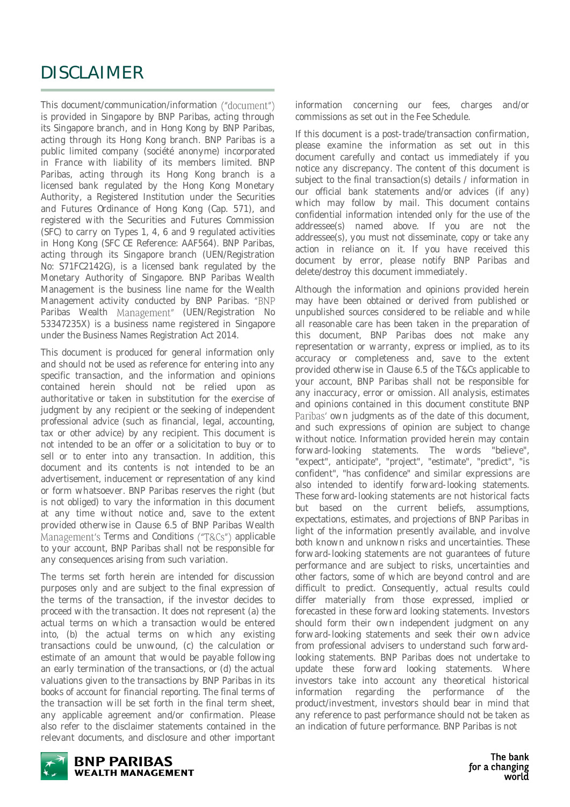### DISCLAIMER

This document/communication/information ("document") is provided in Singapore by BNP Paribas, acting through its Singapore branch, and in Hong Kong by BNP Paribas, acting through its Hong Kong branch. BNP Paribas is a public limited company (société anonyme) incorporated in France with liability of its members limited. BNP Paribas, acting through its Hong Kong branch is a licensed bank regulated by the Hong Kong Monetary Authority, a Registered Institution under the Securities and Futures Ordinance of Hong Kong (Cap. 571), and registered with the Securities and Futures Commission (SFC) to carry on Types 1, 4, 6 and 9 regulated activities in Hong Kong (SFC CE Reference: AAF564). BNP Paribas, acting through its Singapore branch (UEN/Registration No: S71FC2142G), is a licensed bank regulated by the Monetary Authority of Singapore. BNP Paribas Wealth Management is the business line name for the Wealth Management activity conducted by BNP Paribas. "BNP Paribas Wealth Management" (UEN/Registration No 53347235X) is a business name registered in Singapore under the Business Names Registration Act 2014.

This document is produced for general information only and should not be used as reference for entering into any specific transaction, and the information and opinions contained herein should not be relied upon as authoritative or taken in substitution for the exercise of judgment by any recipient or the seeking of independent professional advice (such as financial, legal, accounting, tax or other advice) by any recipient. This document is not intended to be an offer or a solicitation to buy or to sell or to enter into any transaction. In addition, this document and its contents is not intended to be an advertisement, inducement or representation of any kind or form whatsoever. BNP Paribas reserves the right (but is not obliged) to vary the information in this document at any time without notice and, save to the extent provided otherwise in Clause 6.5 of BNP Paribas Wealth Management's Terms and Conditions ("T&Cs") applicable to your account, BNP Paribas shall not be responsible for any consequences arising from such variation.

The terms set forth herein are intended for discussion purposes only and are subject to the final expression of the terms of the transaction, if the investor decides to proceed with the transaction. It does not represent (a) the actual terms on which a transaction would be entered into, (b) the actual terms on which any existing transactions could be unwound, (c) the calculation or estimate of an amount that would be payable following an early termination of the transactions, or (d) the actual valuations given to the transactions by BNP Paribas in its books of account for financial reporting. The final terms of the transaction will be set forth in the final term sheet, any applicable agreement and/or confirmation. Please also refer to the disclaimer statements contained in the relevant documents, and disclosure and other important

information concerning our fees, charges and/or commissions as set out in the Fee Schedule.

If this document is a post-trade/transaction confirmation, please examine the information as set out in this document carefully and contact us immediately if you notice any discrepancy. The content of this document is subject to the final transaction(s) details / information in our official bank statements and/or advices (if any) which may follow by mail. This document contains confidential information intended only for the use of the addressee(s) named above. If you are not the addressee(s), you must not disseminate, copy or take any action in reliance on it. If you have received this document by error, please notify BNP Paribas and delete/destroy this document immediately.

Although the information and opinions provided herein may have been obtained or derived from published or unpublished sources considered to be reliable and while all reasonable care has been taken in the preparation of this document, BNP Paribas does not make any representation or warranty, express or implied, as to its accuracy or completeness and, save to the extent provided otherwise in Clause 6.5 of the T&Cs applicable to your account, BNP Paribas shall not be responsible for any inaccuracy, error or omission. All analysis, estimates and opinions contained in this document constitute BNP Paribas' own judgments as of the date of this document. and such expressions of opinion are subject to change without notice. Information provided herein may contain forward-looking statements. The words "believe", "expect", anticipate", "project", "estimate", "predict", "is confident", "has confidence" and similar expressions are also intended to identify forward-looking statements. These forward-looking statements are not historical facts but based on the current beliefs, assumptions, expectations, estimates, and projections of BNP Paribas in light of the information presently available, and involve both known and unknown risks and uncertainties. These forward-looking statements are not guarantees of future performance and are subject to risks, uncertainties and other factors, some of which are beyond control and are difficult to predict. Consequently, actual results could differ materially from those expressed, implied or forecasted in these forward looking statements. Investors should form their own independent judgment on any forward-looking statements and seek their own advice from professional advisers to understand such forwardlooking statements. BNP Paribas does not undertake to update these forward looking statements. Where investors take into account any theoretical historical information regarding the performance of the product/investment, investors should bear in mind that any reference to past performance should not be taken as an indication of future performance. BNP Paribas is not

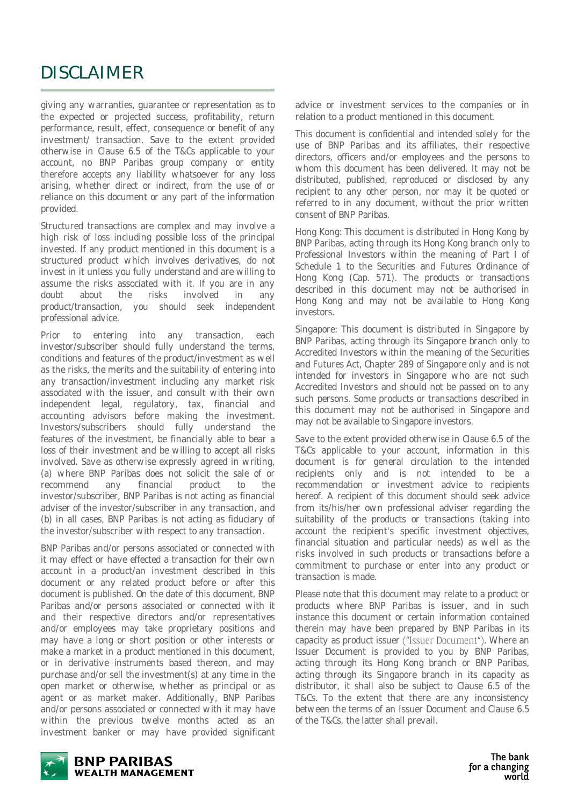### DISCLAIMER

giving any warranties, guarantee or representation as to the expected or projected success, profitability, return performance, result, effect, consequence or benefit of any investment/ transaction. Save to the extent provided otherwise in Clause 6.5 of the T&Cs applicable to your account, no BNP Paribas group company or entity therefore accepts any liability whatsoever for any loss arising, whether direct or indirect, from the use of or reliance on this document or any part of the information provided.

Structured transactions are complex and may involve a high risk of loss including possible loss of the principal invested. If any product mentioned in this document is a structured product which involves derivatives, do not invest in it unless you fully understand and are willing to assume the risks associated with it. If you are in any doubt about the risks involved in any product/transaction, you should seek independent professional advice.

Prior to entering into any transaction, each investor/subscriber should fully understand the terms, conditions and features of the product/investment as well as the risks, the merits and the suitability of entering into any transaction/investment including any market risk associated with the issuer, and consult with their own independent legal, regulatory, tax, financial and accounting advisors before making the investment. Investors/subscribers should fully understand the features of the investment, be financially able to bear a loss of their investment and be willing to accept all risks involved. Save as otherwise expressly agreed in writing, (a) where BNP Paribas does not solicit the sale of or recommend any financial product to the investor/subscriber, BNP Paribas is not acting as financial adviser of the investor/subscriber in any transaction, and (b) in all cases, BNP Paribas is not acting as fiduciary of the investor/subscriber with respect to any transaction.

BNP Paribas and/or persons associated or connected with it may effect or have effected a transaction for their own account in a product/an investment described in this document or any related product before or after this document is published. On the date of this document, BNP Paribas and/or persons associated or connected with it and their respective directors and/or representatives and/or employees may take proprietary positions and may have a long or short position or other interests or make a market in a product mentioned in this document, or in derivative instruments based thereon, and may purchase and/or sell the investment(s) at any time in the open market or otherwise, whether as principal or as agent or as market maker. Additionally, BNP Paribas and/or persons associated or connected with it may have within the previous twelve months acted as an investment banker or may have provided significant advice or investment services to the companies or in relation to a product mentioned in this document.

This document is confidential and intended solely for the use of BNP Paribas and its affiliates, their respective directors, officers and/or employees and the persons to whom this document has been delivered. It may not be distributed, published, reproduced or disclosed by any recipient to any other person, nor may it be quoted or referred to in any document, without the prior written consent of BNP Paribas.

Hong Kong: This document is distributed in Hong Kong by BNP Paribas, acting through its Hong Kong branch only to Professional Investors within the meaning of Part I of Schedule 1 to the Securities and Futures Ordinance of Hong Kong (Cap. 571). The products or transactions described in this document may not be authorised in Hong Kong and may not be available to Hong Kong investors.

Singapore: This document is distributed in Singapore by BNP Paribas, acting through its Singapore branch only to Accredited Investors within the meaning of the Securities and Futures Act, Chapter 289 of Singapore only and is not intended for investors in Singapore who are not such Accredited Investors and should not be passed on to any such persons. Some products or transactions described in this document may not be authorised in Singapore and may not be available to Singapore investors.

Save to the extent provided otherwise in Clause 6.5 of the T&Cs applicable to your account, information in this document is for general circulation to the intended recipients only and is not intended to be a recommendation or investment advice to recipients hereof. A recipient of this document should seek advice from its/his/her own professional adviser regarding the suitability of the products or transactions (taking into account the recipient's specific investment objectives, financial situation and particular needs) as well as the risks involved in such products or transactions before a commitment to purchase or enter into any product or transaction is made.

Please note that this document may relate to a product or products where BNP Paribas is issuer, and in such instance this document or certain information contained therein may have been prepared by BNP Paribas in its capacity as product issuer ("Issuer Document"). Where an Issuer Document is provided to you by BNP Paribas, acting through its Hong Kong branch or BNP Paribas, acting through its Singapore branch in its capacity as distributor, it shall also be subject to Clause 6.5 of the T&Cs. To the extent that there are any inconsistency between the terms of an Issuer Document and Clause 6.5 of the T&Cs, the latter shall prevail.



**BNP PARIBAS WEALTH MANAGEMENT**